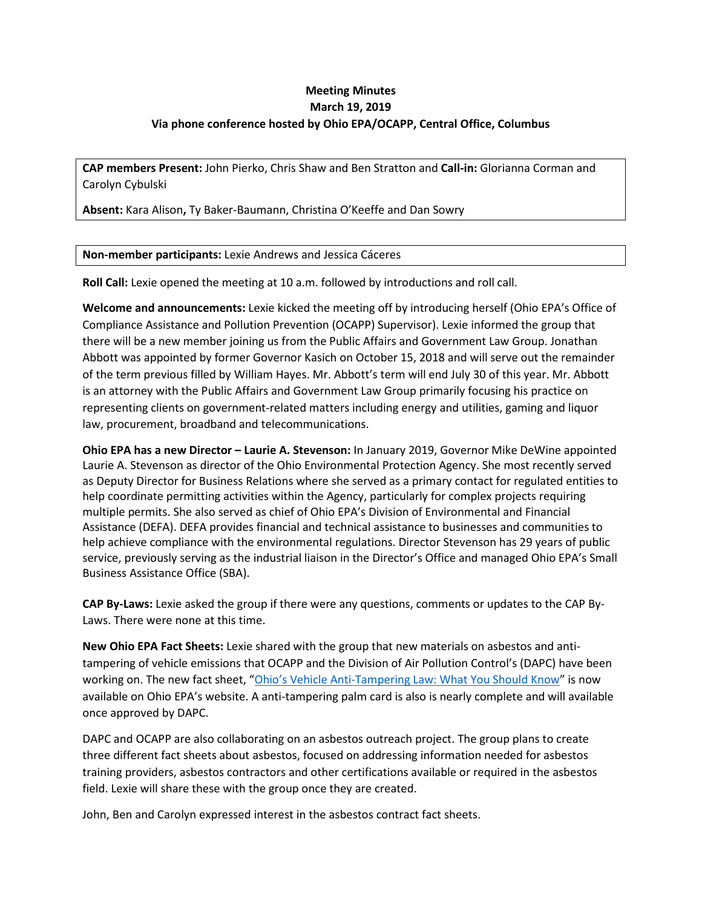# **Meeting Minutes March 19, 2019 Via phone conference hosted by Ohio EPA/OCAPP, Central Office, Columbus**

**CAP members Present:** John Pierko, Chris Shaw and Ben Stratton and **Call-in:** Glorianna Corman and Carolyn Cybulski

**Absent:** Kara Alison**,** Ty Baker-Baumann, Christina O'Keeffe and Dan Sowry

#### **Non-member participants:** Lexie Andrews and Jessica Cáceres

**Roll Call:** Lexie opened the meeting at 10 a.m. followed by introductions and roll call.

**Welcome and announcements:** Lexie kicked the meeting off by introducing herself (Ohio EPA's Office of Compliance Assistance and Pollution Prevention (OCAPP) Supervisor). Lexie informed the group that there will be a new member joining us from the Public Affairs and Government Law Group. Jonathan Abbott was appointed by former Governor Kasich on October 15, 2018 and will serve out the remainder of the term previous filled by William Hayes. Mr. Abbott's term will end July 30 of this year. Mr. Abbott is an attorney with the Public Affairs and Government Law Group primarily focusing his practice on representing clients on government-related matters including energy and utilities, gaming and liquor law, procurement, broadband and telecommunications.

**Ohio EPA has a new Director – Laurie A. Stevenson:** In January 2019, Governor Mike DeWine appointed Laurie A. Stevenson as director of the Ohio Environmental Protection Agency. She most recently served as Deputy Director for Business Relations where she served as a primary contact for regulated entities to help coordinate permitting activities within the Agency, particularly for complex projects requiring multiple permits. She also served as chief of Ohio EPA's Division of Environmental and Financial Assistance (DEFA). DEFA provides financial and technical assistance to businesses and communities to help achieve compliance with the environmental regulations. Director Stevenson has 29 years of public service, previously serving as the industrial liaison in the Director's Office and managed Ohio EPA's Small Business Assistance Office (SBA).

**CAP By-Laws:** Lexie asked the group if there were any questions, comments or updates to the CAP By-Laws. There were none at this time.

**New Ohio EPA Fact Sheets:** Lexie shared with the group that new materials on asbestos and antitampering of vehicle emissions that OCAPP and the Division of Air Pollution Control's (DAPC) have been working on. The new fact sheet, ["Ohio's Vehicle Anti-Tampering Law: What You Should Know"](https://epa.ohio.gov/portals/27/echeck/docs/tamper_law.pdf) is now available on Ohio EPA's website. A anti-tampering palm card is also is nearly complete and will available once approved by DAPC.

DAPC and OCAPP are also collaborating on an asbestos outreach project. The group plans to create three different fact sheets about asbestos, focused on addressing information needed for asbestos training providers, asbestos contractors and other certifications available or required in the asbestos field. Lexie will share these with the group once they are created.

John, Ben and Carolyn expressed interest in the asbestos contract fact sheets.